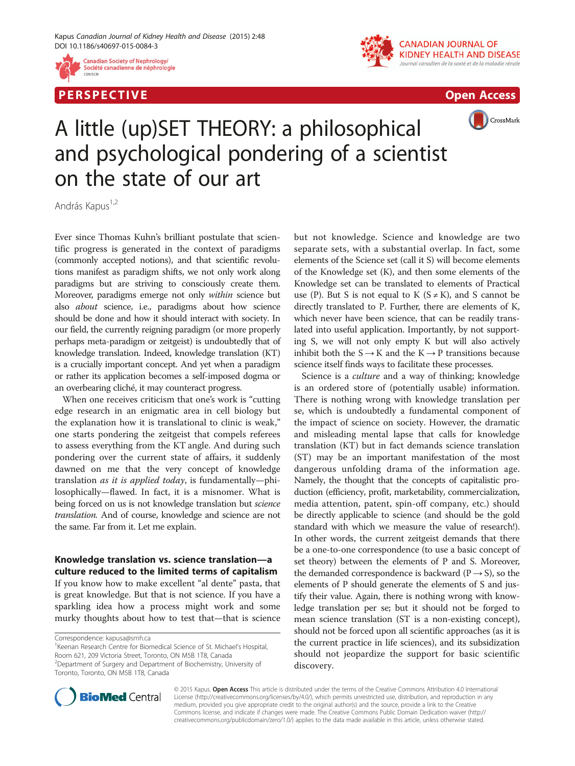

P E R S P E C TIV E Open Access





# A little (up)SET THEORY: a philosophical and psychological pondering of a scientist on the state of our art

András Kapus<sup>1,2</sup>

Ever since Thomas Kuhn's brilliant postulate that scientific progress is generated in the context of paradigms (commonly accepted notions), and that scientific revolutions manifest as paradigm shifts, we not only work along paradigms but are striving to consciously create them. Moreover, paradigms emerge not only within science but also about science, i.e., paradigms about how science should be done and how it should interact with society. In our field, the currently reigning paradigm (or more properly perhaps meta-paradigm or zeitgeist) is undoubtedly that of knowledge translation. Indeed, knowledge translation (KT) is a crucially important concept. And yet when a paradigm or rather its application becomes a self-imposed dogma or an overbearing cliché, it may counteract progress.

When one receives criticism that one's work is "cutting edge research in an enigmatic area in cell biology but the explanation how it is translational to clinic is weak," one starts pondering the zeitgeist that compels referees to assess everything from the KT angle. And during such pondering over the current state of affairs, it suddenly dawned on me that the very concept of knowledge translation as it is applied today, is fundamentally—philosophically—flawed. In fact, it is a misnomer. What is being forced on us is not knowledge translation but science translation. And of course, knowledge and science are not the same. Far from it. Let me explain.

## Knowledge translation vs. science translation—a culture reduced to the limited terms of capitalism

If you know how to make excellent "al dente" pasta, that is great knowledge. But that is not science. If you have a sparkling idea how a process might work and some murky thoughts about how to test that—that is science

Correspondence: [kapusa@smh.ca](mailto:kapusa@smh.ca) <sup>1</sup>

<sup>1</sup> Keenan Research Centre for Biomedical Science of St. Michael's Hospital, Room 621, 209 Victoria Street, Toronto, ON M5B 1T8, Canada

<sup>2</sup>Department of Surgery and Department of Biochemistry, University of Toronto, Toronto, ON M5B 1T8, Canada

but not knowledge. Science and knowledge are two separate sets, with a substantial overlap. In fact, some elements of the Science set (call it S) will become elements of the Knowledge set (K), and then some elements of the Knowledge set can be translated to elements of Practical use (P). But S is not equal to K ( $S \neq K$ ), and S cannot be directly translated to P. Further, there are elements of K, which never have been science, that can be readily translated into useful application. Importantly, by not supporting S, we will not only empty K but will also actively inhibit both the  $S \rightarrow K$  and the  $K \rightarrow P$  transitions because science itself finds ways to facilitate these processes.

Science is a culture and a way of thinking; knowledge is an ordered store of (potentially usable) information. There is nothing wrong with knowledge translation per se, which is undoubtedly a fundamental component of the impact of science on society. However, the dramatic and misleading mental lapse that calls for knowledge translation (KT) but in fact demands science translation (ST) may be an important manifestation of the most dangerous unfolding drama of the information age. Namely, the thought that the concepts of capitalistic production (efficiency, profit, marketability, commercialization, media attention, patent, spin-off company, etc.) should be directly applicable to science (and should be the gold standard with which we measure the value of research!). In other words, the current zeitgeist demands that there be a one-to-one correspondence (to use a basic concept of set theory) between the elements of P and S. Moreover, the demanded correspondence is backward ( $P \rightarrow S$ ), so the elements of P should generate the elements of S and justify their value. Again, there is nothing wrong with knowledge translation per se; but it should not be forged to mean science translation (ST is a non-existing concept), should not be forced upon all scientific approaches (as it is the current practice in life sciences), and its subsidization should not jeopardize the support for basic scientific discovery.



© 2015 Kapus. Open Access This article is distributed under the terms of the Creative Commons Attribution 4.0 International License ([http://creativecommons.org/licenses/by/4.0/\)](http://creativecommons.org/licenses/by/4.0/), which permits unrestricted use, distribution, and reproduction in any medium, provided you give appropriate credit to the original author(s) and the source, provide a link to the Creative Commons license, and indicate if changes were made. The Creative Commons Public Domain Dedication waiver ([http://](http://creativecommons.org/publicdomain/zero/1.0/) [creativecommons.org/publicdomain/zero/1.0/\)](http://creativecommons.org/publicdomain/zero/1.0/) applies to the data made available in this article, unless otherwise stated.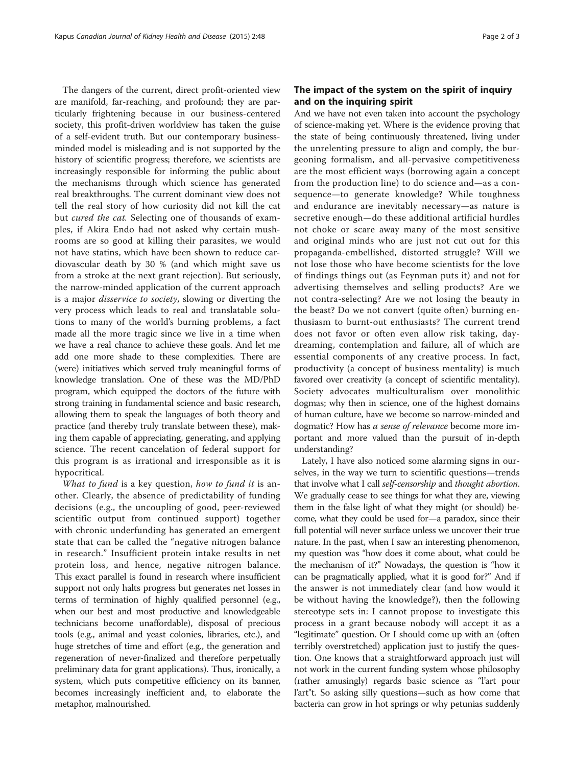The dangers of the current, direct profit-oriented view are manifold, far-reaching, and profound; they are particularly frightening because in our business-centered society, this profit-driven worldview has taken the guise of a self-evident truth. But our contemporary businessminded model is misleading and is not supported by the history of scientific progress; therefore, we scientists are increasingly responsible for informing the public about the mechanisms through which science has generated real breakthroughs. The current dominant view does not tell the real story of how curiosity did not kill the cat but cured the cat. Selecting one of thousands of examples, if Akira Endo had not asked why certain mushrooms are so good at killing their parasites, we would not have statins, which have been shown to reduce cardiovascular death by 30 % (and which might save us from a stroke at the next grant rejection). But seriously, the narrow-minded application of the current approach is a major disservice to society, slowing or diverting the very process which leads to real and translatable solutions to many of the world's burning problems, a fact made all the more tragic since we live in a time when we have a real chance to achieve these goals. And let me add one more shade to these complexities. There are (were) initiatives which served truly meaningful forms of knowledge translation. One of these was the MD/PhD program, which equipped the doctors of the future with strong training in fundamental science and basic research, allowing them to speak the languages of both theory and practice (and thereby truly translate between these), making them capable of appreciating, generating, and applying science. The recent cancelation of federal support for this program is as irrational and irresponsible as it is hypocritical.

What to fund is a key question, how to fund it is another. Clearly, the absence of predictability of funding decisions (e.g., the uncoupling of good, peer-reviewed scientific output from continued support) together with chronic underfunding has generated an emergent state that can be called the "negative nitrogen balance in research." Insufficient protein intake results in net protein loss, and hence, negative nitrogen balance. This exact parallel is found in research where insufficient support not only halts progress but generates net losses in terms of termination of highly qualified personnel (e.g., when our best and most productive and knowledgeable technicians become unaffordable), disposal of precious tools (e.g., animal and yeast colonies, libraries, etc.), and huge stretches of time and effort (e.g., the generation and regeneration of never-finalized and therefore perpetually preliminary data for grant applications). Thus, ironically, a system, which puts competitive efficiency on its banner, becomes increasingly inefficient and, to elaborate the metaphor, malnourished.

### The impact of the system on the spirit of inquiry and on the inquiring spirit

And we have not even taken into account the psychology of science-making yet. Where is the evidence proving that the state of being continuously threatened, living under the unrelenting pressure to align and comply, the burgeoning formalism, and all-pervasive competitiveness are the most efficient ways (borrowing again a concept from the production line) to do science and—as a consequence—to generate knowledge? While toughness and endurance are inevitably necessary—as nature is secretive enough—do these additional artificial hurdles not choke or scare away many of the most sensitive and original minds who are just not cut out for this propaganda-embellished, distorted struggle? Will we not lose those who have become scientists for the love of findings things out (as Feynman puts it) and not for advertising themselves and selling products? Are we not contra-selecting? Are we not losing the beauty in the beast? Do we not convert (quite often) burning enthusiasm to burnt-out enthusiasts? The current trend does not favor or often even allow risk taking, daydreaming, contemplation and failure, all of which are essential components of any creative process. In fact, productivity (a concept of business mentality) is much favored over creativity (a concept of scientific mentality). Society advocates multiculturalism over monolithic dogmas; why then in science, one of the highest domains of human culture, have we become so narrow-minded and dogmatic? How has a sense of relevance become more important and more valued than the pursuit of in-depth understanding?

Lately, I have also noticed some alarming signs in ourselves, in the way we turn to scientific questions—trends that involve what I call self-censorship and thought abortion. We gradually cease to see things for what they are, viewing them in the false light of what they might (or should) become, what they could be used for—a paradox, since their full potential will never surface unless we uncover their true nature. In the past, when I saw an interesting phenomenon, my question was "how does it come about, what could be the mechanism of it?" Nowadays, the question is "how it can be pragmatically applied, what it is good for?" And if the answer is not immediately clear (and how would it be without having the knowledge?), then the following stereotype sets in: I cannot propose to investigate this process in a grant because nobody will accept it as a "legitimate" question. Or I should come up with an (often terribly overstretched) application just to justify the question. One knows that a straightforward approach just will not work in the current funding system whose philosophy (rather amusingly) regards basic science as "l'art pour l'art"t. So asking silly questions—such as how come that bacteria can grow in hot springs or why petunias suddenly